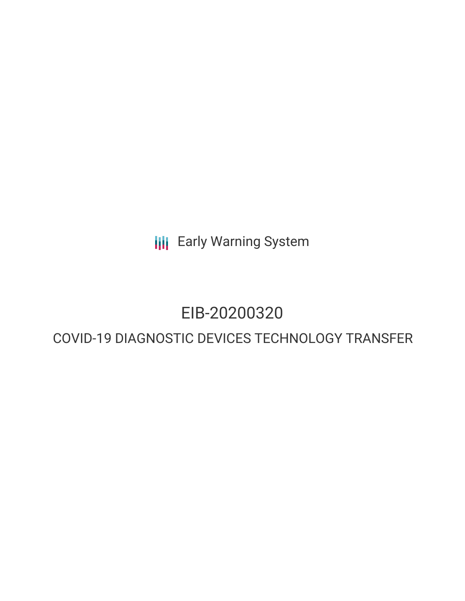**III** Early Warning System

# EIB-20200320

# COVID-19 DIAGNOSTIC DEVICES TECHNOLOGY TRANSFER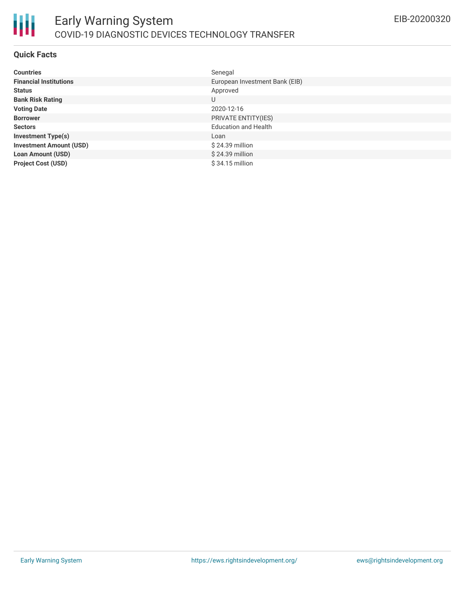

## **Quick Facts**

| <b>Countries</b>               | Senegal                        |
|--------------------------------|--------------------------------|
| <b>Financial Institutions</b>  | European Investment Bank (EIB) |
| <b>Status</b>                  | Approved                       |
| <b>Bank Risk Rating</b>        | U                              |
| <b>Voting Date</b>             | 2020-12-16                     |
| <b>Borrower</b>                | PRIVATE ENTITY(IES)            |
| <b>Sectors</b>                 | <b>Education and Health</b>    |
| <b>Investment Type(s)</b>      | Loan                           |
| <b>Investment Amount (USD)</b> | \$24.39 million                |
| <b>Loan Amount (USD)</b>       | \$24.39 million                |
| <b>Project Cost (USD)</b>      | $$34.15$ million               |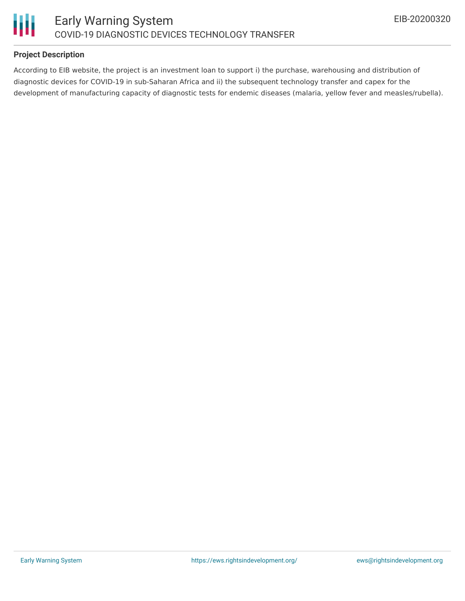

# **Project Description**

According to EIB website, the project is an investment loan to support i) the purchase, warehousing and distribution of diagnostic devices for COVID-19 in sub-Saharan Africa and ii) the subsequent technology transfer and capex for the development of manufacturing capacity of diagnostic tests for endemic diseases (malaria, yellow fever and measles/rubella).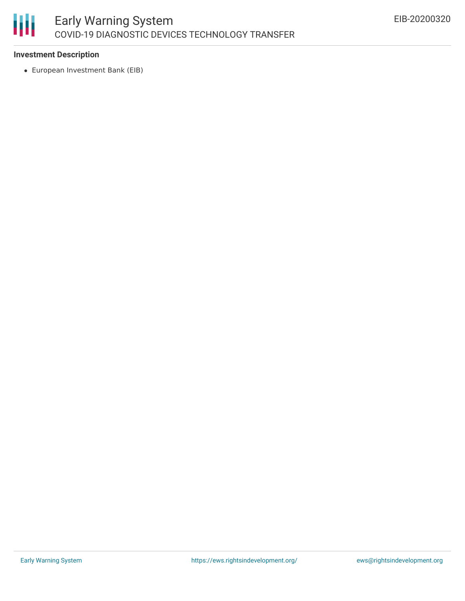

# **Investment Description**

European Investment Bank (EIB)